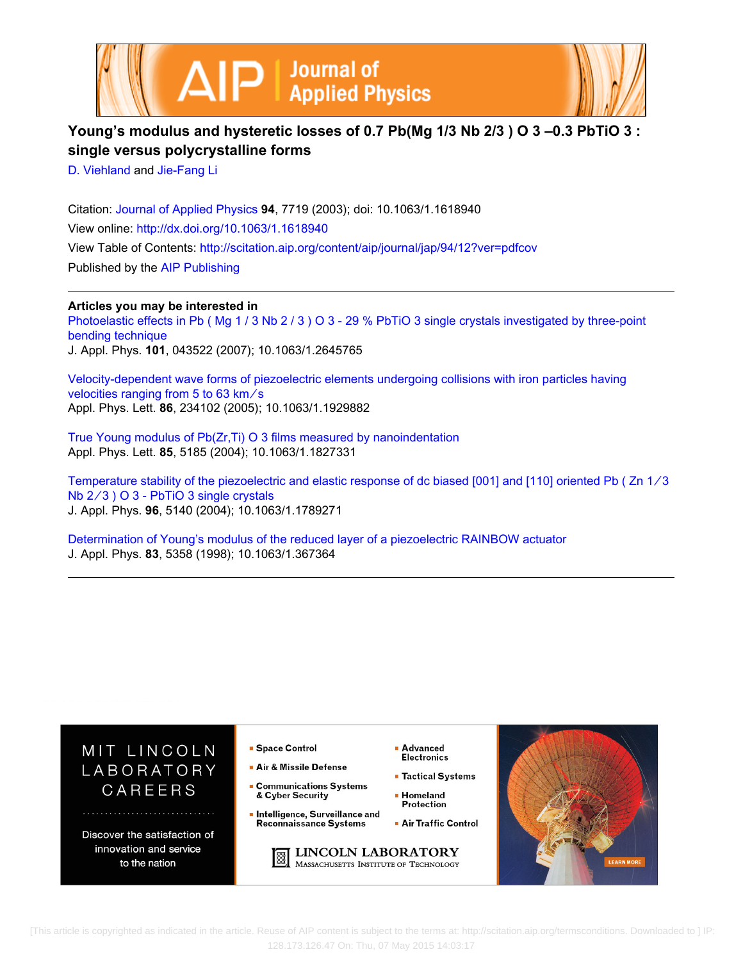



## **Young's modulus and hysteretic losses of 0.7 Pb(Mg 1/3 Nb 2/3 ) O 3 –0.3 PbTiO 3 : single versus polycrystalline forms**

[D. Viehland](http://scitation.aip.org/search?value1=D.+Viehland&option1=author) and [Jie-Fang Li](http://scitation.aip.org/search?value1=Jie-Fang+Li&option1=author)

Citation: [Journal of Applied Physics](http://scitation.aip.org/content/aip/journal/jap?ver=pdfcov) **94**, 7719 (2003); doi: 10.1063/1.1618940 View online: <http://dx.doi.org/10.1063/1.1618940> View Table of Contents: <http://scitation.aip.org/content/aip/journal/jap/94/12?ver=pdfcov> Published by the [AIP Publishing](http://scitation.aip.org/content/aip?ver=pdfcov)

**Articles you may be interested in**

Photoelastic effects in Pb (Mg 1/3 Nb 2/3) O 3 - 29 % PbTiO 3 single crystals investigated by three-point [bending technique](http://scitation.aip.org/content/aip/journal/jap/101/4/10.1063/1.2645765?ver=pdfcov)

J. Appl. Phys. **101**, 043522 (2007); 10.1063/1.2645765

[Velocity-dependent wave forms of piezoelectric elements undergoing collisions with iron particles having](http://scitation.aip.org/content/aip/journal/apl/86/23/10.1063/1.1929882?ver=pdfcov) velocities ranging from 5 to 63 km/s Appl. Phys. Lett. **86**, 234102 (2005); 10.1063/1.1929882

[True Young modulus of Pb\(Zr,Ti\) O 3 films measured by nanoindentation](http://scitation.aip.org/content/aip/journal/apl/85/22/10.1063/1.1827331?ver=pdfcov) Appl. Phys. Lett. **85**, 5185 (2004); 10.1063/1.1827331

Temperature stability of the piezoelectric and elastic response of dc biased [001] and [110] oriented Pb ( Zn 1∕3 Nb 2/3 ) O 3 - PbTiO 3 single crystals J. Appl. Phys. **96**, 5140 (2004); 10.1063/1.1789271

[Determination of Young's modulus of the reduced layer of a piezoelectric RAINBOW actuator](http://scitation.aip.org/content/aip/journal/jap/83/10/10.1063/1.367364?ver=pdfcov) J. Appl. Phys. **83**, 5358 (1998); 10.1063/1.367364



 [This article is copyrighted as indicated in the article. Reuse of AIP content is subject to the terms at: http://scitation.aip.org/termsconditions. Downloaded to ] IP: 128.173.126.47 On: Thu, 07 May 2015 14:03:17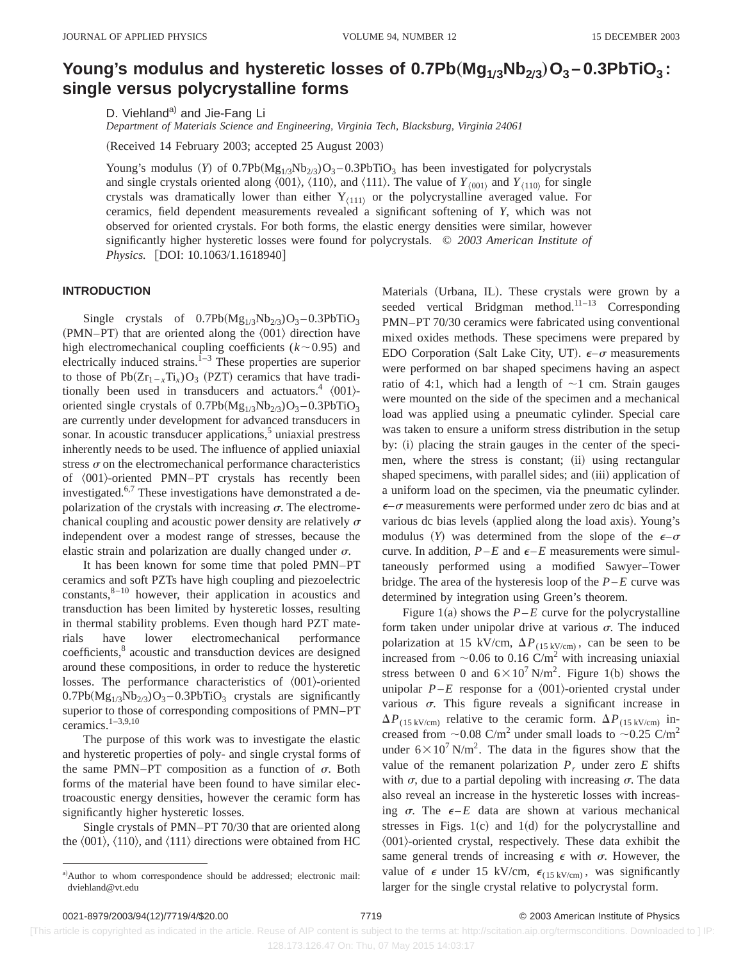# **Young's modulus and hysteretic losses of**  $0.7Pb(Mg_{1/3}Nb_{2/3})O_3 - 0.3PbTiO_3$ **: single versus polycrystalline forms**

D. Viehland<sup>a)</sup> and Jie-Fang Li

*Department of Materials Science and Engineering, Virginia Tech, Blacksburg, Virginia 24061*

(Received 14 February 2003; accepted 25 August 2003)

Young's modulus (Y) of  $0.7Pb(Mg_{1/3}Nb_{2/3})O_3 - 0.3PbTiO_3$  has been investigated for polycrystals and single crystals oriented along  $\langle 001 \rangle$ ,  $\langle 110 \rangle$ , and  $\langle 111 \rangle$ . The value of  $Y_{\langle 001 \rangle}$  and  $Y_{\langle 110 \rangle}$  for single crystals was dramatically lower than either  $Y_{(111)}$  or the polycrystalline averaged value. For ceramics, field dependent measurements revealed a significant softening of *Y*, which was not observed for oriented crystals. For both forms, the elastic energy densities were similar, however significantly higher hysteretic losses were found for polycrystals. © *2003 American Institute of Physics.* [DOI: 10.1063/1.1618940]

#### **INTRODUCTION**

Single crystals of  $0.7Pb(Mg_{1/3}Nb_{2/3})O_3 - 0.3PbTiO_3$  $(PMN-PT)$  that are oriented along the  $\langle 001 \rangle$  direction have high electromechanical coupling coefficients  $(k \sim 0.95)$  and electrically induced strains.<sup> $1-3$ </sup> These properties are superior to those of  $Pb(Zr_{1-x}Ti_x)O_3$  (PZT) ceramics that have traditionally been used in transducers and actuators.<sup>4</sup>  $\langle 001 \rangle$ oriented single crystals of  $0.7Pb(Mg_{1/3}Nb_{2/3})O_3 - 0.3PbTiO_3$ are currently under development for advanced transducers in sonar. In acoustic transducer applications, $5$  uniaxial prestress inherently needs to be used. The influence of applied uniaxial stress  $\sigma$  on the electromechanical performance characteristics of  $\langle 001 \rangle$ -oriented PMN–PT crystals has recently been investigated.6,7 These investigations have demonstrated a depolarization of the crystals with increasing  $\sigma$ . The electromechanical coupling and acoustic power density are relatively  $\sigma$ independent over a modest range of stresses, because the elastic strain and polarization are dually changed under  $\sigma$ .

It has been known for some time that poled PMN–PT ceramics and soft PZTs have high coupling and piezoelectric  $constants$ <sup>8-10</sup> however, their application in acoustics and transduction has been limited by hysteretic losses, resulting in thermal stability problems. Even though hard PZT materials have lower electromechanical performance coefficients,<sup>8</sup> acoustic and transduction devices are designed around these compositions, in order to reduce the hysteretic losses. The performance characteristics of  $\langle 001 \rangle$ -oriented  $0.7Pb(Mg_{1/3}Nb_{2/3})O_3 - 0.3PbTiO_3$  crystals are significantly superior to those of corresponding compositions of PMN–PT ceramics. $1-3,9,10$ 

The purpose of this work was to investigate the elastic and hysteretic properties of poly- and single crystal forms of the same PMN–PT composition as a function of  $\sigma$ . Both forms of the material have been found to have similar electroacoustic energy densities, however the ceramic form has significantly higher hysteretic losses.

Single crystals of PMN–PT 70/30 that are oriented along the  $\langle 001 \rangle$ ,  $\langle 110 \rangle$ , and  $\langle 111 \rangle$  directions were obtained from HC Materials (Urbana, IL). These crystals were grown by a seeded vertical Bridgman method.<sup>11-13</sup> Corresponding PMN–PT 70/30 ceramics were fabricated using conventional mixed oxides methods. These specimens were prepared by EDO Corporation (Salt Lake City, UT).  $\epsilon$ - $\sigma$  measurements were performed on bar shaped specimens having an aspect ratio of 4:1, which had a length of  $\sim$ 1 cm. Strain gauges were mounted on the side of the specimen and a mechanical load was applied using a pneumatic cylinder. Special care was taken to ensure a uniform stress distribution in the setup by: (i) placing the strain gauges in the center of the specimen, where the stress is constant; (ii) using rectangular shaped specimens, with parallel sides; and (iii) application of a uniform load on the specimen, via the pneumatic cylinder.  $\epsilon$ – $\sigma$  measurements were performed under zero dc bias and at various dc bias levels (applied along the load axis). Young's modulus (Y) was determined from the slope of the  $\epsilon-\sigma$ curve. In addition,  $P$ –*E* and  $\epsilon$ –*E* measurements were simultaneously performed using a modified Sawyer–Tower bridge. The area of the hysteresis loop of the *P*–*E* curve was determined by integration using Green's theorem.

Figure 1(a) shows the  $P$ –*E* curve for the polycrystalline form taken under unipolar drive at various  $\sigma$ . The induced polarization at 15 kV/cm,  $\Delta P_{(15 \text{ kV/cm})}$ , can be seen to be increased from  $\sim$ 0.06 to 0.16 C/m<sup>2</sup> with increasing uniaxial stress between 0 and  $6 \times 10^7$  N/m<sup>2</sup>. Figure 1(b) shows the unipolar  $P$ –*E* response for a  $\langle 001 \rangle$ -oriented crystal under various  $\sigma$ . This figure reveals a significant increase in  $\Delta P_{(15 \text{ kV/cm})}$  relative to the ceramic form.  $\Delta P_{(15 \text{ kV/cm})}$  increased from  $\sim$ 0.08 C/m<sup>2</sup> under small loads to  $\sim$ 0.25 C/m<sup>2</sup> under  $6 \times 10^7$  N/m<sup>2</sup>. The data in the figures show that the value of the remanent polarization  $P_r$  under zero  $E$  shifts with  $\sigma$ , due to a partial depoling with increasing  $\sigma$ . The data also reveal an increase in the hysteretic losses with increasing  $\sigma$ . The  $\epsilon$ -*E* data are shown at various mechanical stresses in Figs.  $1(c)$  and  $1(d)$  for the polycrystalline and  $\langle 001 \rangle$ -oriented crystal, respectively. These data exhibit the same general trends of increasing  $\epsilon$  with  $\sigma$ . However, the value of  $\epsilon$  under 15 kV/cm,  $\epsilon_{(15 \text{ kV/cm})}$ , was significantly larger for the single crystal relative to polycrystal form.

 [This article is copyrighted as indicated in the article. Reuse of AIP content is subject to the terms at: http://scitation.aip.org/termsconditions. Downloaded to ] IP: 128.173.126.47 On: Thu, 07 May 2015 14:03:17

a)Author to whom correspondence should be addressed; electronic mail: dviehland@vt.edu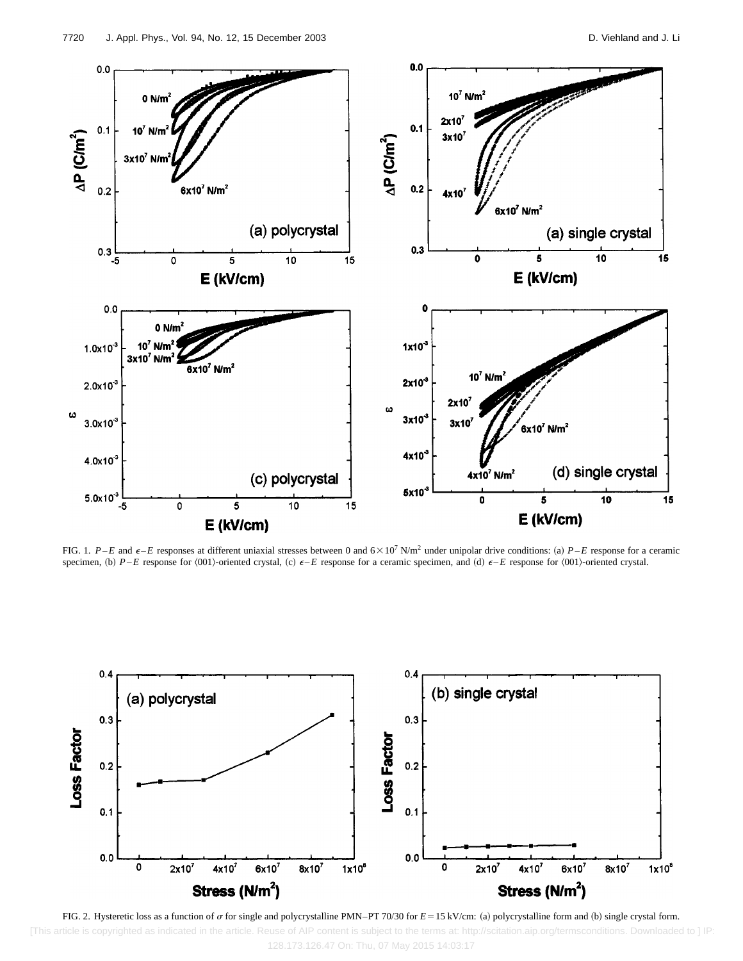

FIG. 1. *P*–*E* and  $\epsilon$ –*E* responses at different uniaxial stresses between 0 and  $6 \times 10^7$  N/m<sup>2</sup> under unipolar drive conditions: (a) *P*–*E* response for a ceramic specimen, (b)  $P$ –*E* response for  $\langle 001 \rangle$ -oriented crystal, (c)  $\epsilon$ –*E* response for a ceramic specimen, and (d)  $\epsilon$ –*E* response for  $\langle 001 \rangle$ -oriented crystal.



FIG. 2. Hysteretic loss as a function of  $\sigma$  for single and polycrystalline PMN–PT 70/30 for  $E = 15$  kV/cm: (a) polycrystalline form and (b) single crystal form. [This article is copyrighted as indicated in the article. Reuse of AIP content is subject to the terms at: http://scitation.aip.org/termsconditions. Downloaded to ] IP: 128.173.126.47 On: Thu, 07 May 2015 14:03:17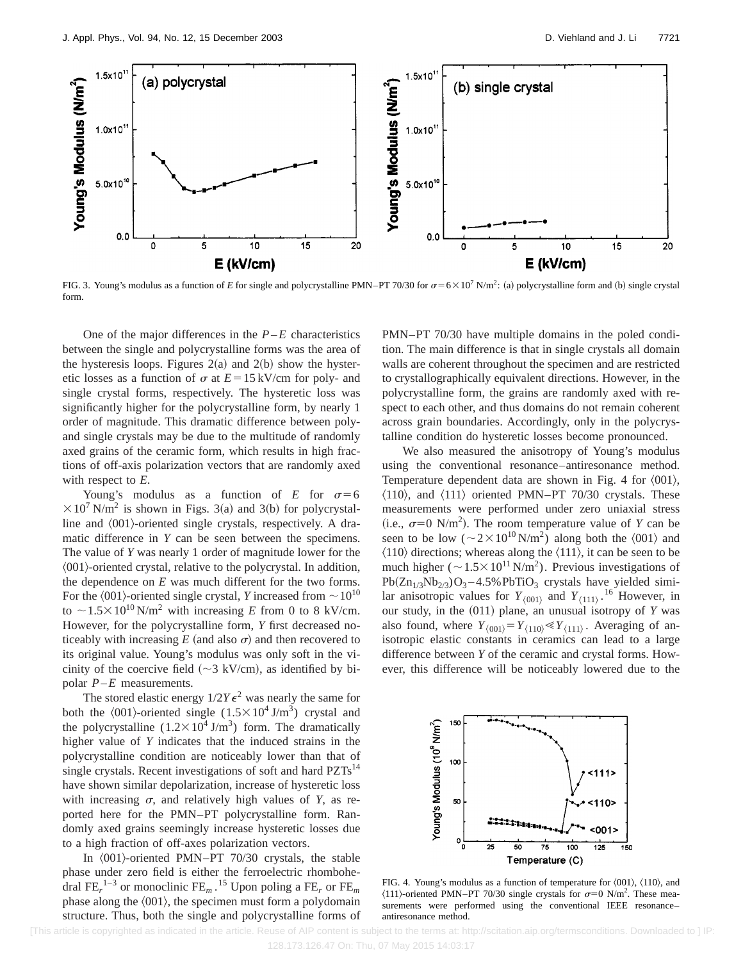

FIG. 3. Young's modulus as a function of *E* for single and polycrystalline PMN–PT 70/30 for  $\sigma = 6 \times 10^7$  N/m<sup>2</sup>: (a) polycrystalline form and (b) single crystal form.

One of the major differences in the  $P$ – $E$  characteristics between the single and polycrystalline forms was the area of the hysteresis loops. Figures  $2(a)$  and  $2(b)$  show the hysteretic losses as a function of  $\sigma$  at  $E=15$  kV/cm for poly- and single crystal forms, respectively. The hysteretic loss was significantly higher for the polycrystalline form, by nearly 1 order of magnitude. This dramatic difference between polyand single crystals may be due to the multitude of randomly axed grains of the ceramic form, which results in high fractions of off-axis polarization vectors that are randomly axed with respect to *E*.

Young's modulus as a function of  $E$  for  $\sigma=6$  $\times 10^{7}$  N/m<sup>2</sup> is shown in Figs. 3(a) and 3(b) for polycrystalline and  $\langle 001 \rangle$ -oriented single crystals, respectively. A dramatic difference in *Y* can be seen between the specimens. The value of *Y* was nearly 1 order of magnitude lower for the  $\langle 001 \rangle$ -oriented crystal, relative to the polycrystal. In addition, the dependence on *E* was much different for the two forms. For the  $\langle 001 \rangle$ -oriented single crystal, *Y* increased from  $\sim 10^{10}$ to  $\sim$  1.5 $\times$ 10<sup>10</sup> N/m<sup>2</sup> with increasing *E* from 0 to 8 kV/cm. However, for the polycrystalline form, *Y* first decreased noticeably with increasing  $E$  (and also  $\sigma$ ) and then recovered to its original value. Young's modulus was only soft in the vicinity of the coercive field ( $\sim$ 3 kV/cm), as identified by bipolar *P*–*E* measurements.

The stored elastic energy  $1/2Y\epsilon^2$  was nearly the same for both the  $\langle 001 \rangle$ -oriented single  $(1.5 \times 10^4 \text{ J/m}^3)$  crystal and the polycrystalline  $(1.2 \times 10^4 \text{ J/m}^3)$  form. The dramatically higher value of *Y* indicates that the induced strains in the polycrystalline condition are noticeably lower than that of single crystals. Recent investigations of soft and hard  $PZTs^{14}$ have shown similar depolarization, increase of hysteretic loss with increasing  $\sigma$ , and relatively high values of *Y*, as reported here for the PMN–PT polycrystalline form. Randomly axed grains seemingly increase hysteretic losses due to a high fraction of off-axes polarization vectors.

In  $\langle 001 \rangle$ -oriented PMN–PT 70/30 crystals, the stable phase under zero field is either the ferroelectric rhombohedral FE*<sup>r</sup>* 1–3 or monoclinic FE*<sup>m</sup>* . <sup>15</sup> Upon poling a FE*<sup>r</sup>* or FE*<sup>m</sup>* phase along the  $\langle 001 \rangle$ , the specimen must form a polydomain structure. Thus, both the single and polycrystalline forms of PMN–PT 70/30 have multiple domains in the poled condition. The main difference is that in single crystals all domain walls are coherent throughout the specimen and are restricted to crystallographically equivalent directions. However, in the polycrystalline form, the grains are randomly axed with respect to each other, and thus domains do not remain coherent across grain boundaries. Accordingly, only in the polycrystalline condition do hysteretic losses become pronounced.

We also measured the anisotropy of Young's modulus using the conventional resonance–antiresonance method. Temperature dependent data are shown in Fig. 4 for  $\langle 001 \rangle$ ,  $\langle 110 \rangle$ , and  $\langle 111 \rangle$  oriented PMN–PT 70/30 crystals. These measurements were performed under zero uniaxial stress (i.e.,  $\sigma=0$  N/m<sup>2</sup>). The room temperature value of *Y* can be seen to be low ( $\sim$ 2 $\times$ 10<sup>10</sup> N/m<sup>2</sup>) along both the  $\langle 001 \rangle$  and  $\langle 110 \rangle$  directions; whereas along the  $\langle 111 \rangle$ , it can be seen to be much higher ( $\sim1.5\times10^{11}$  N/m<sup>2</sup>). Previous investigations of  $Pb(Zn_{1/3}Nb_{2/3})O_3 - 4.5\% PbTiO_3$  crystals have yielded similar anisotropic values for  $Y_{(001)}$  and  $Y_{(111)}$ .<sup>16</sup> However, in our study, in the (011) plane, an unusual isotropy of *Y* was also found, where  $Y_{(001)} = Y_{(110)} \ll Y_{(111)}$ . Averaging of anisotropic elastic constants in ceramics can lead to a large difference between *Y* of the ceramic and crystal forms. However, this difference will be noticeably lowered due to the



FIG. 4. Young's modulus as a function of temperature for  $\langle 001 \rangle$ ,  $\langle 110 \rangle$ , and  $\langle 111 \rangle$ -oriented PMN–PT 70/30 single crystals for  $\sigma=0$  N/m<sup>2</sup>. These measurements were performed using the conventional IEEE resonance– antiresonance method.